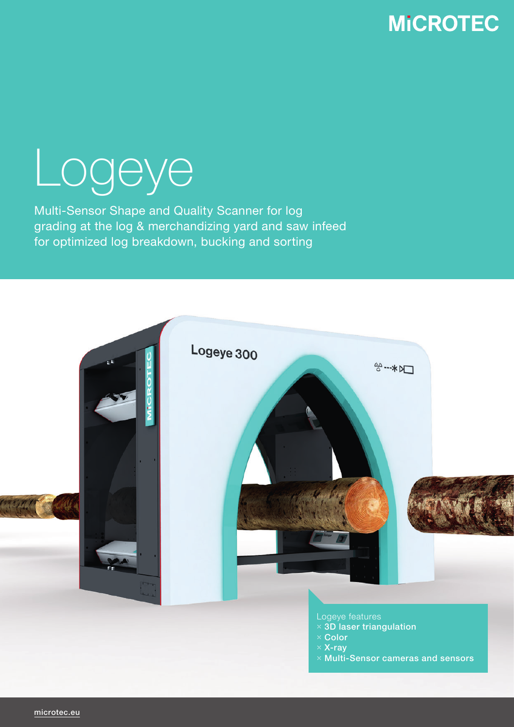### **MICROTEC**

# Logeye

Multi-Sensor Shape and Quality Scanner for log grading at the log & merchandizing yard and saw infeed for optimized log breakdown, bucking and sorting



- Logeye features
- $\times$  3D laser triangulation
- ⤬ Color
- $\times$  X-ray
- ⤬ Multi-Sensor cameras and sensors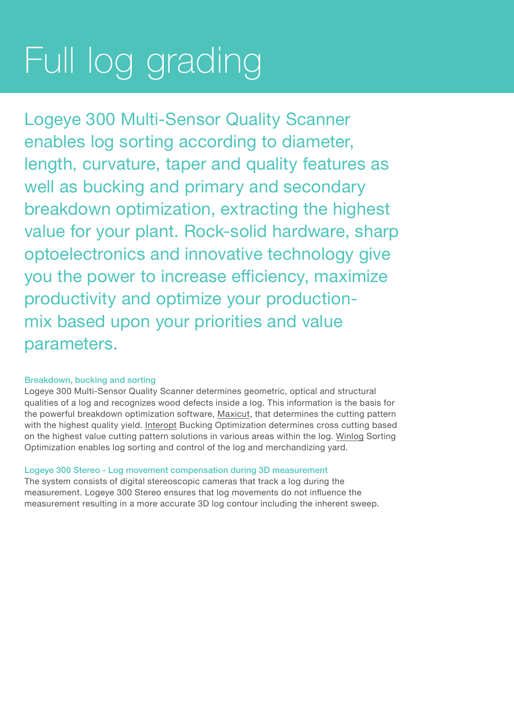## Full log grading

Logeye 300 Multi-Sensor Quality Scanner enables log sorting according to diameter, length, curvature, taper and quality features as well as bucking and primary and secondary breakdown optimization, extracting the highest value for your plant. Rock-solid hardware, sharp optoelectronics and innovative technology give you the power to increase efficiency, maximize productivity and optimize your productionmix based upon your priorities and value parameters.

#### Breakdown, bucking and sorting

Logeye 300 Multi-Sensor Quality Scanner determines geometric, optical and structural qualities of a log and recognizes wood defects inside a log. This information is the basis for the powerful breakdown optimization software, Maxicut, that determines the cutting pattern with the highest quality yield. Interopt Bucking Optimization determines cross cutting based on the highest value cutting pattern solutions in various areas within the log. Winlog Sorting Optimization enables log sorting and control of the log and merchandizing yard.

#### Logeye 300 Stereo - Log movement compensation during 3D measurement

The system consists of digital stereoscopic cameras that track a log during the measurement. Logeye 300 Stereo ensures that log movements do not influence the measurement resulting in a more accurate 3D log contour including the inherent sweep.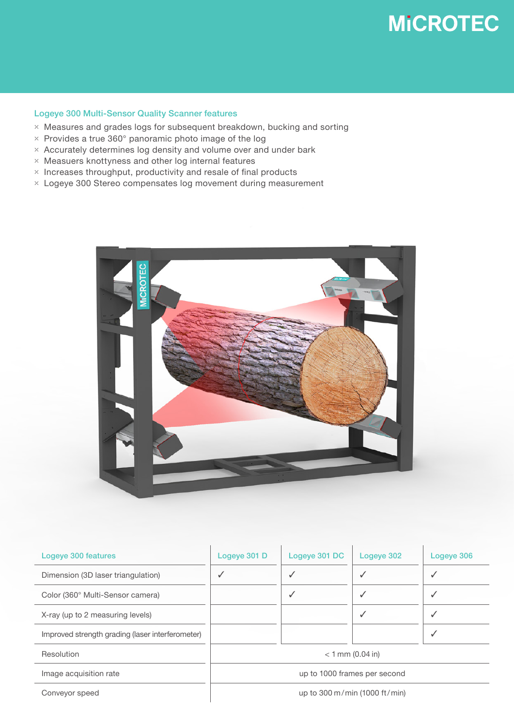### **MICROTEC**

#### Logeye 300 Multi-Sensor Quality Scanner features

- ⤫ Measures and grades logs for subsequent breakdown, bucking and sorting
- $\times$  Provides a true 360 $^{\circ}$  panoramic photo image of the log
- $\times$  Accurately determines log density and volume over and under bark
- ⤫ Measuers knottyness and other log internal features
- $\times$  Increases throughput, productivity and resale of final products
- ⤫ Logeye 300 Stereo compensates log movement during measurement



| Logeye 300 features                              | Logeye 301 D                  | Logeye 301 DC | Logeye 302 | Logeye 306 |
|--------------------------------------------------|-------------------------------|---------------|------------|------------|
| Dimension (3D laser triangulation)               | $\checkmark$                  |               |            |            |
| Color (360° Multi-Sensor camera)                 |                               | ✓             |            | ✓          |
| X-ray (up to 2 measuring levels)                 |                               |               | ✓          |            |
| Improved strength grading (laser interferometer) |                               |               |            | √          |
| Resolution                                       | $< 1$ mm (0.04 in)            |               |            |            |
| Image acquisition rate                           | up to 1000 frames per second  |               |            |            |
| Conveyor speed                                   | up to 300 m/min (1000 ft/min) |               |            |            |